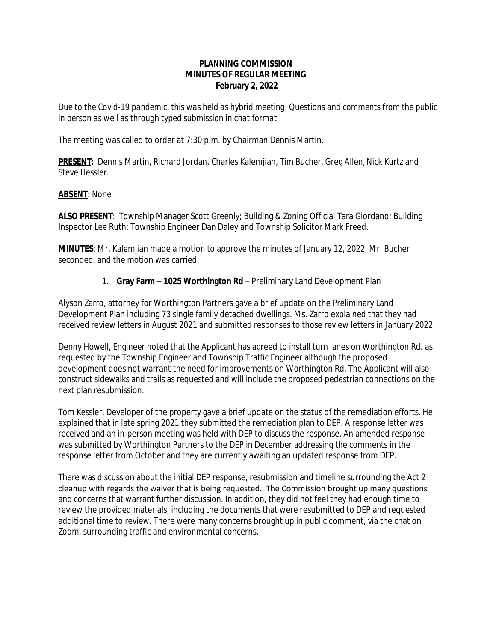#### **PLANNING COMMISSION MINUTES OF REGULAR MEETING February 2, 2022**

*Due to the Covid-19 pandemic, this was held as hybrid meeting. Questions and comments from the public in person as well as through typed submission in chat format.*

The meeting was called to order at 7:30 p.m. by Chairman Dennis Martin.

**PRESENT:** Dennis Martin, Richard Jordan, Charles Kalemjian, Tim Bucher, Greg Allen, Nick Kurtz and Steve Hessler.

#### **ABSENT**: None

**ALSO PRESENT**: Township Manager Scott Greenly; Building & Zoning Official Tara Giordano; Building Inspector Lee Ruth; Township Engineer Dan Daley and Township Solicitor Mark Freed.

**MINUTES**: Mr. Kalemjian made a motion to approve the minutes of January 12, 2022, Mr. Bucher seconded, and the motion was carried.

## 1. **Gray Farm – 1025 Worthington Rd** – Preliminary Land Development Plan

Alyson Zarro, attorney for Worthington Partners gave a brief update on the Preliminary Land Development Plan including 73 single family detached dwellings. Ms. Zarro explained that they had received review letters in August 2021 and submitted responses to those review letters in January 2022.

Denny Howell, Engineer noted that the Applicant has agreed to install turn lanes on Worthington Rd. as requested by the Township Engineer and Township Traffic Engineer although the proposed development does not warrant the need for improvements on Worthington Rd. The Applicant will also construct sidewalks and trails as requested and will include the proposed pedestrian connections on the next plan resubmission.

Tom Kessler, Developer of the property gave a brief update on the status of the remediation efforts. He explained that in late spring 2021 they submitted the remediation plan to DEP. A response letter was received and an in-person meeting was held with DEP to discuss the response. An amended response was submitted by Worthington Partners to the DEP in December addressing the comments in the response letter from October and they are currently awaiting an updated response from DEP.

There was discussion about the initial DEP response, resubmission and timeline surrounding the Act 2 cleanup with regards the waiver that is being requested. The Commission brought up many questions and concerns that warrant further discussion. In addition, they did not feel they had enough time to review the provided materials, including the documents that were resubmitted to DEP and requested additional time to review. There were many concerns brought up in public comment, via the chat on Zoom, surrounding traffic and environmental concerns.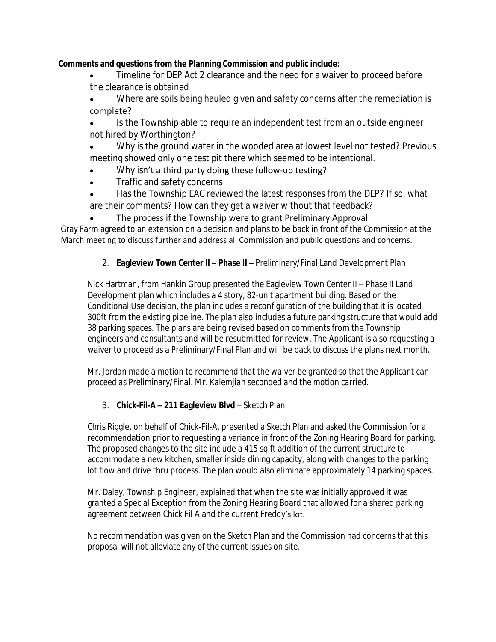## **Comments and questions from the Planning Commission and public include:**

- Timeline for DEP Act 2 clearance and the need for a waiver to proceed before the clearance is obtained
- Where are soils being hauled given and safety concerns after the remediation is complete?
- Is the Township able to require an independent test from an outside engineer not hired by Worthington?
- Why is the ground water in the wooded area at lowest level not tested? Previous meeting showed only one test pit there which seemed to be intentional.
- Why isn't a third party doing these follow-up testing?
- Traffic and safety concerns
- Has the Township EAC reviewed the latest responses from the DEP? If so, what are their comments? How can they get a waiver without that feedback?
- The process if the Township were to grant Preliminary Approval

Gray Farm agreed to an extension on a decision and plans to be back in front of the Commission at the March meeting to discuss further and address all Commission and public questions and concerns.

# 2. **Eagleview Town Center II - Phase II -** Preliminary/Final Land Development Plan

Nick Hartman, from Hankin Group presented the Eagleview Town Center II – Phase II Land Development plan which includes a 4 story, 82-unit apartment building. Based on the Conditional Use decision, the plan includes a reconfiguration of the building that it is located 300ft from the existing pipeline. The plan also includes a future parking structure that would add 38 parking spaces. The plans are being revised based on comments from the Township engineers and consultants and will be resubmitted for review. The Applicant is also requesting a waiver to proceed as a Preliminary/Final Plan and will be back to discuss the plans next month.

*Mr. Jordan made a motion to recommend that the waiver be granted so that the Applicant can proceed as Preliminary/Final. Mr. Kalemjian seconded and the motion carried.*

## 3. **Chick-Fil-A – 211 Eagleview Blvd** – Sketch Plan

Chris Riggle, on behalf of Chick-Fil-A, presented a Sketch Plan and asked the Commission for a recommendation prior to requesting a variance in front of the Zoning Hearing Board for parking. The proposed changes to the site include a 415 sq ft addition of the current structure to accommodate a new kitchen, smaller inside dining capacity, along with changes to the parking lot flow and drive thru process. The plan would also eliminate approximately 14 parking spaces.

Mr. Daley, Township Engineer, explained that when the site was initially approved it was granted a Special Exception from the Zoning Hearing Board that allowed for a shared parking agreement between Chick Fil A and the current Freddy's lot.

No recommendation was given on the Sketch Plan and the Commission had concerns that this proposal will not alleviate any of the current issues on site.